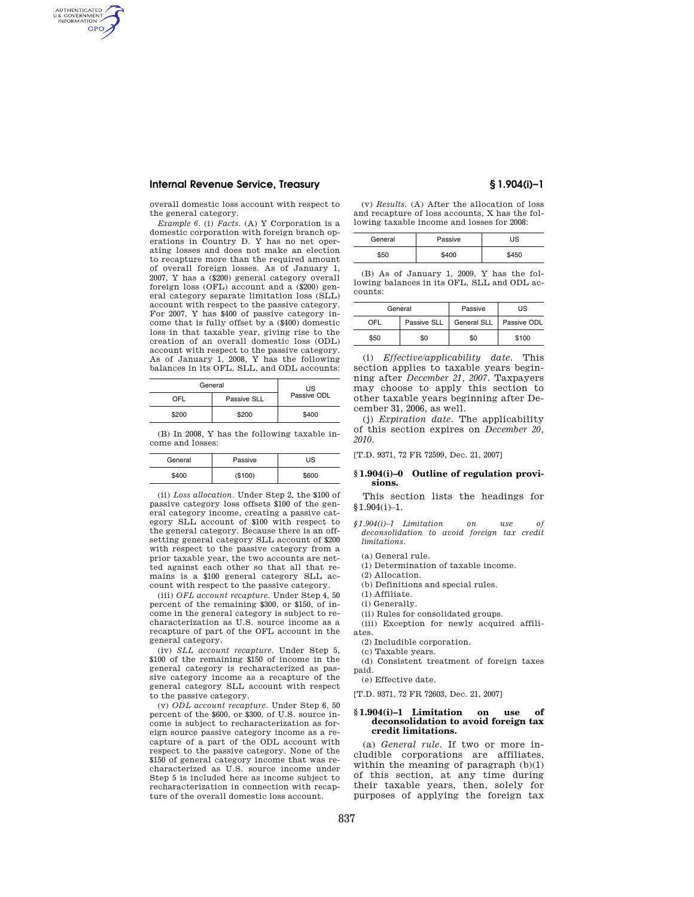# **Internal Revenue Service, Treasury § 1.904(i)–1**

AUTHENTICATED<br>U.S. GOVERNMENT<br>INFORMATION GPO

> overall domestic loss account with respect to the general category.

> *Example 6.* (i) *Facts.* (A) Y Corporation is a domestic corporation with foreign branch operations in Country D. Y has no net operating losses and does not make an election to recapture more than the required amount of overall foreign losses. As of January 1, 2007, Y has a (\$200) general category overall foreign loss (OFL) account and a (\$200) general category separate limitation loss (SLL) account with respect to the passive category. For 2007, Y has \$400 of passive category income that is fully offset by a (\$400) domestic loss in that taxable year, giving rise to the creation of an overall domestic loss (ODL) account with respect to the passive category. As of January 1, 2008, Y has the following balances in its OFL, SLL, and ODL accounts:

| General | <b>US</b>   |             |
|---------|-------------|-------------|
| OFL     | Passive SLL | Passive ODL |
| \$200   | \$200       | \$400       |

(B) In 2008, Y has the following taxable income and losses:

| General | Passive | US    |
|---------|---------|-------|
| \$400   | (\$100) | \$600 |

(ii) *Loss allocation.* Under Step 2, the \$100 of passive category loss offsets \$100 of the general category income, creating a passive category SLL account of \$100 with respect to the general category. Because there is an offsetting general category SLL account of \$200 with respect to the passive category from a prior taxable year, the two accounts are netted against each other so that all that remains is a \$100 general category SLL account with respect to the passive category.

(iii) *OFL account recapture.* Under Step 4, 50 percent of the remaining \$300, or \$150, of income in the general category is subject to recharacterization as U.S. source income as a recapture of part of the OFL account in the general category.

(iv) *SLL account recapture.* Under Step 5, \$100 of the remaining \$150 of income in the general category is recharacterized as passive category income as a recapture of the general category SLL account with respect to the passive category.

(v) *ODL account recapture.* Under Step 6, 50 percent of the \$600, or \$300, of U.S. source income is subject to recharacterization as foreign source passive category income as a recapture of a part of the ODL account with respect to the passive category. None of the \$150 of general category income that was recharacterized as U.S. source income under Step 5 is included here as income subject to recharacterization in connection with recapture of the overall domestic loss account.

(v) *Results.* (A) After the allocation of loss and recapture of loss accounts, X has the following taxable income and losses for 2008:

| General | Passive | JS |  |
|---------|---------|----|--|
|         |         |    |  |

(B) As of January 1, 2009, Y has the following balances in its OFL, SLL and ODL accounts:

| General    |             | Passive            | US          |
|------------|-------------|--------------------|-------------|
| <b>OFI</b> | Passive SLL | <b>General SLL</b> | Passive ODL |
| \$50       | \$0         | \$0                | \$100       |

(i) *Effective/applicability date.* This section applies to taxable years beginning after *December 21, 2007.* Taxpayers may choose to apply this section to other taxable years beginning after December 31, 2006, as well.

(j) *Expiration date.* The applicability of this section expires on *December 20, 2010.* 

[T.D. 9371, 72 FR 72599, Dec. 21, 2007]

#### **§ 1.904(i)–0 Outline of regulation provisions.**

This section lists the headings for  $§1.904(i)-1.$ 

- *§1.904(i)–1 Limitation on use of deconsolidation to avoid foreign tax credit limitations.* 
	- (a) General rule.
	- (1) Determination of taxable income.
	- (2) Allocation.
	- (b) Definitions and special rules.
- (1) Affiliate.
- (i) Generally.

(ii) Rules for consolidated groups. (iii) Exception for newly acquired affili-

ates.

(2) Includible corporation.

(c) Taxable years.

(d) Consistent treatment of foreign taxes paid.

(e) Effective date.

[T.D. 9371, 72 FR 72603, Dec. 21, 2007]

#### **§ 1.904(i)–1 Limitation on use of deconsolidation to avoid foreign tax credit limitations.**

(a) *General rule.* If two or more includible corporations are affiliates, within the meaning of paragraph  $(b)(1)$ of this section, at any time during their taxable years, then, solely for purposes of applying the foreign tax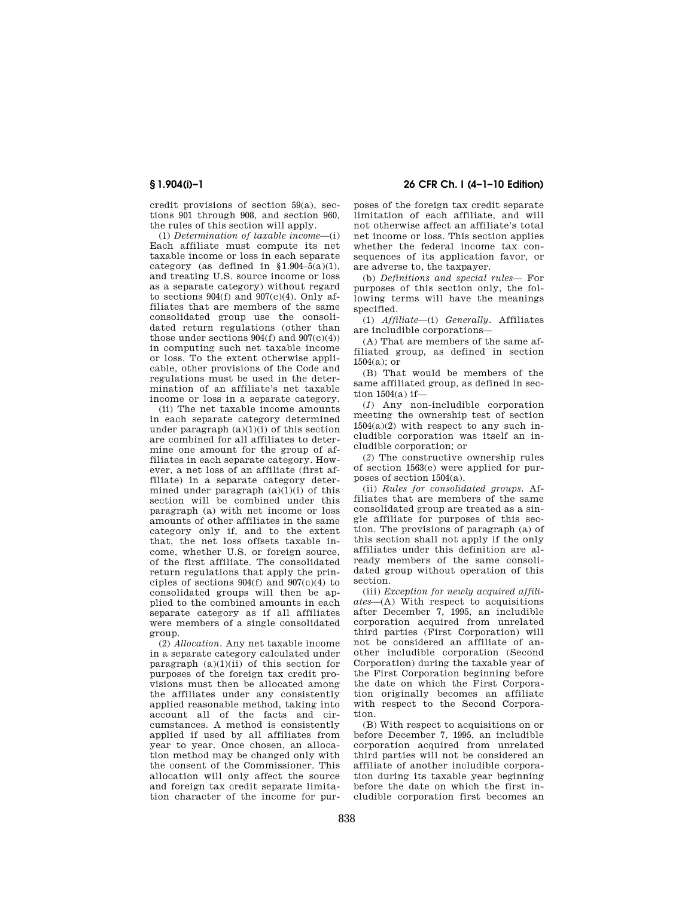credit provisions of section 59(a), sections 901 through 908, and section 960, the rules of this section will apply.

(1) *Determination of taxable income*—(i) Each affiliate must compute its net taxable income or loss in each separate category (as defined in  $$1.904-5(a)(1)$ , and treating U.S. source income or loss as a separate category) without regard to sections  $904(f)$  and  $907(c)(4)$ . Only affiliates that are members of the same consolidated group use the consolidated return regulations (other than those under sections  $904(f)$  and  $907(c)(4)$ in computing such net taxable income or loss. To the extent otherwise applicable, other provisions of the Code and regulations must be used in the determination of an affiliate's net taxable income or loss in a separate category.

(ii) The net taxable income amounts in each separate category determined under paragraph  $(a)(1)(i)$  of this section are combined for all affiliates to determine one amount for the group of affiliates in each separate category. However, a net loss of an affiliate (first affiliate) in a separate category determined under paragraph  $(a)(1)(i)$  of this section will be combined under this paragraph (a) with net income or loss amounts of other affiliates in the same category only if, and to the extent that, the net loss offsets taxable income, whether U.S. or foreign source, of the first affiliate. The consolidated return regulations that apply the principles of sections  $904(f)$  and  $907(c)(4)$  to consolidated groups will then be applied to the combined amounts in each separate category as if all affiliates were members of a single consolidated group.

(2) *Allocation.* Any net taxable income in a separate category calculated under paragraph  $(a)(1)(ii)$  of this section for purposes of the foreign tax credit provisions must then be allocated among the affiliates under any consistently applied reasonable method, taking into account all of the facts and circumstances. A method is consistently applied if used by all affiliates from year to year. Once chosen, an allocation method may be changed only with the consent of the Commissioner. This allocation will only affect the source and foreign tax credit separate limitation character of the income for pur-

**§ 1.904(i)–1 26 CFR Ch. I (4–1–10 Edition)** 

poses of the foreign tax credit separate limitation of each affiliate, and will not otherwise affect an affiliate's total net income or loss. This section applies whether the federal income tax consequences of its application favor, or are adverse to, the taxpayer.

(b) *Definitions and special rules—* For purposes of this section only, the following terms will have the meanings specified.

(1) *Affiliate*—(i) *Generally.* Affiliates are includible corporations—

(A) That are members of the same affiliated group, as defined in section 1504(a); or

(B) That would be members of the same affiliated group, as defined in section 1504(a) if—

(*1*) Any non-includible corporation meeting the ownership test of section  $1504(a)(2)$  with respect to any such includible corporation was itself an includible corporation; or

(*2*) The constructive ownership rules of section 1563(e) were applied for purposes of section 1504(a).

(ii) *Rules for consolidated groups.* Affiliates that are members of the same consolidated group are treated as a single affiliate for purposes of this section. The provisions of paragraph (a) of this section shall not apply if the only affiliates under this definition are already members of the same consolidated group without operation of this section.

(iii) *Exception for newly acquired affiliates*—(A) With respect to acquisitions after December 7, 1995, an includible corporation acquired from unrelated third parties (First Corporation) will not be considered an affiliate of another includible corporation (Second Corporation) during the taxable year of the First Corporation beginning before the date on which the First Corporation originally becomes an affiliate with respect to the Second Corporation.

(B) With respect to acquisitions on or before December 7, 1995, an includible corporation acquired from unrelated third parties will not be considered an affiliate of another includible corporation during its taxable year beginning before the date on which the first includible corporation first becomes an